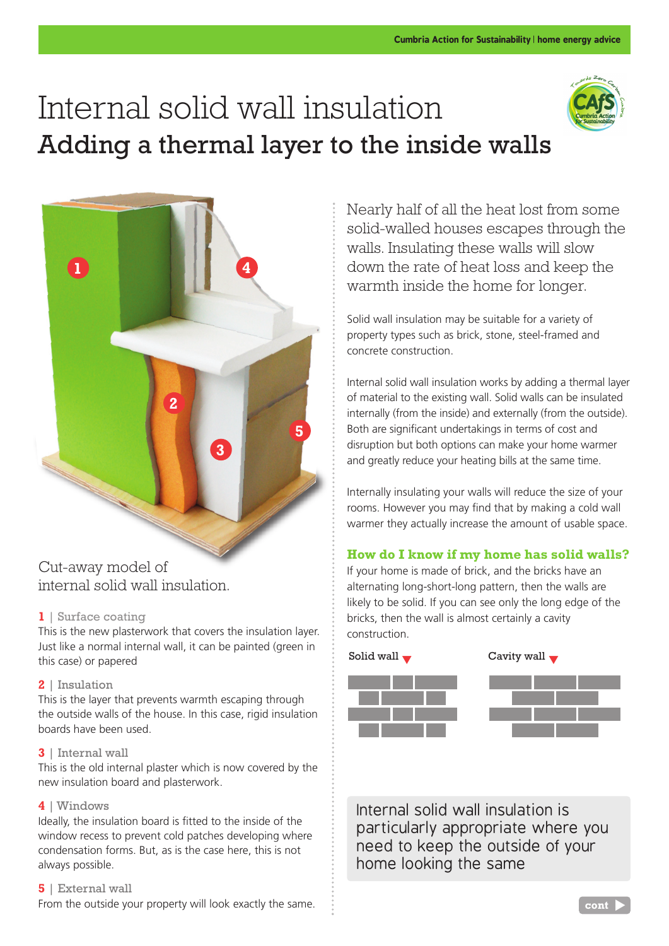# Internal solid wall insulation Adding a thermal layer to the inside walls





## Cut-away model of internal solid wall insulation.

## **1** | Surface coating

This is the new plasterwork that covers the insulation layer. Just like a normal internal wall, it can be painted (green in this case) or papered

## **2** | Insulation

This is the layer that prevents warmth escaping through the outside walls of the house. In this case, rigid insulation boards have been used.

### **3** | Internal wall

This is the old internal plaster which is now covered by the new insulation board and plasterwork.

## **4** | Windows

Ideally, the insulation board is fitted to the inside of the window recess to prevent cold patches developing where condensation forms. But, as is the case here, this is not always possible.

### **5** | External wall

From the outside your property will look exactly the same.

Nearly half of all the heat lost from some solid-walled houses escapes through the walls. Insulating these walls will slow down the rate of heat loss and keep the warmth inside the home for longer.

Solid wall insulation may be suitable for a variety of property types such as brick, stone, steel-framed and concrete construction.

Internal solid wall insulation works by adding a thermal layer of material to the existing wall. Solid walls can be insulated internally (from the inside) and externally (from the outside). Both are significant undertakings in terms of cost and disruption but both options can make your home warmer and greatly reduce your heating bills at the same time.

Internally insulating your walls will reduce the size of your rooms. However you may find that by making a cold wall warmer they actually increase the amount of usable space.

## **How do I know if my home has solid walls?**

If your home is made of brick, and the bricks have an alternating long-short-long pattern, then the walls are likely to be solid. If you can see only the long edge of the bricks, then the wall is almost certainly a cavity construction.



Internal solid wall insulation is particularly appropriate where you need to keep the outside of your home looking the same